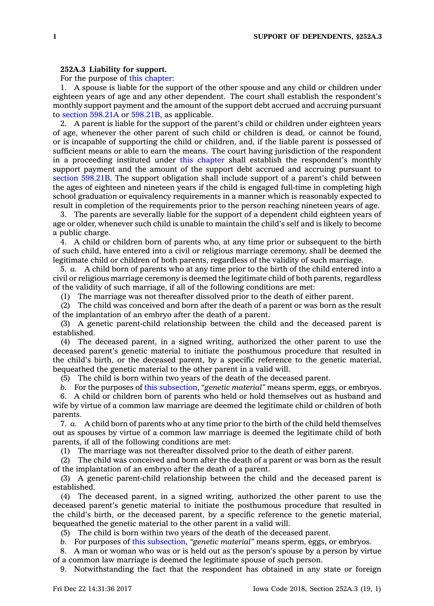## **252A.3 Liability for support.**

For the purpose of this [chapter](https://www.legis.iowa.gov/docs/code//252A.pdf):

1. A spouse is liable for the support of the other spouse and any child or children under eighteen years of age and any other dependent. The court shall establish the respondent's monthly support payment and the amount of the support debt accrued and accruing pursuant to section [598.21A](https://www.legis.iowa.gov/docs/code/598.21A.pdf) or [598.21B](https://www.legis.iowa.gov/docs/code/598.21B.pdf), as applicable.

2. A parent is liable for the support of the parent's child or children under eighteen years of age, whenever the other parent of such child or children is dead, or cannot be found, or is incapable of supporting the child or children, and, if the liable parent is possessed of sufficient means or able to earn the means. The court having jurisdiction of the respondent in <sup>a</sup> proceeding instituted under this [chapter](https://www.legis.iowa.gov/docs/code//252A.pdf) shall establish the respondent's monthly support payment and the amount of the support debt accrued and accruing pursuant to section [598.21B](https://www.legis.iowa.gov/docs/code/598.21B.pdf). The support obligation shall include support of <sup>a</sup> parent's child between the ages of eighteen and nineteen years if the child is engaged full-time in completing high school graduation or equivalency requirements in <sup>a</sup> manner which is reasonably expected to result in completion of the requirements prior to the person reaching nineteen years of age.

3. The parents are severally liable for the support of <sup>a</sup> dependent child eighteen years of age or older, whenever such child is unable to maintain the child's self and is likely to become <sup>a</sup> public charge.

4. A child or children born of parents who, at any time prior or subsequent to the birth of such child, have entered into <sup>a</sup> civil or religious marriage ceremony, shall be deemed the legitimate child or children of both parents, regardless of the validity of such marriage.

5. *a.* A child born of parents who at any time prior to the birth of the child entered into <sup>a</sup> civil or religious marriage ceremony is deemed the legitimate child of both parents, regardless of the validity of such marriage, if all of the following conditions are met:

(1) The marriage was not thereafter dissolved prior to the death of either parent.

(2) The child was conceived and born after the death of <sup>a</sup> parent or was born as the result of the implantation of an embryo after the death of <sup>a</sup> parent.

(3) A genetic parent-child relationship between the child and the deceased parent is established.

(4) The deceased parent, in <sup>a</sup> signed writing, authorized the other parent to use the deceased parent's genetic material to initiate the posthumous procedure that resulted in the child's birth, or the deceased parent, by <sup>a</sup> specific reference to the genetic material, bequeathed the genetic material to the other parent in <sup>a</sup> valid will.

(5) The child is born within two years of the death of the deceased parent.

*b.* For the purposes of this [subsection](https://www.legis.iowa.gov/docs/code/252A.3.pdf), *"genetic material"* means sperm, eggs, or embryos. 6. A child or children born of parents who held or hold themselves out as husband and wife by virtue of <sup>a</sup> common law marriage are deemed the legitimate child or children of both parents.

7. *a.* A child born of parents who at any time prior to the birth of the child held themselves out as spouses by virtue of <sup>a</sup> common law marriage is deemed the legitimate child of both parents, if all of the following conditions are met:

(1) The marriage was not thereafter dissolved prior to the death of either parent.

(2) The child was conceived and born after the death of <sup>a</sup> parent or was born as the result of the implantation of an embryo after the death of <sup>a</sup> parent.

(3) A genetic parent-child relationship between the child and the deceased parent is established.

(4) The deceased parent, in <sup>a</sup> signed writing, authorized the other parent to use the deceased parent's genetic material to initiate the posthumous procedure that resulted in the child's birth, or the deceased parent, by <sup>a</sup> specific reference to the genetic material, bequeathed the genetic material to the other parent in <sup>a</sup> valid will.

(5) The child is born within two years of the death of the deceased parent.

*b.* For purposes of this [subsection](https://www.legis.iowa.gov/docs/code/252A.3.pdf), *"genetic material"* means sperm, eggs, or embryos.

8. A man or woman who was or is held out as the person's spouse by <sup>a</sup> person by virtue of <sup>a</sup> common law marriage is deemed the legitimate spouse of such person.

9. Notwithstanding the fact that the respondent has obtained in any state or foreign